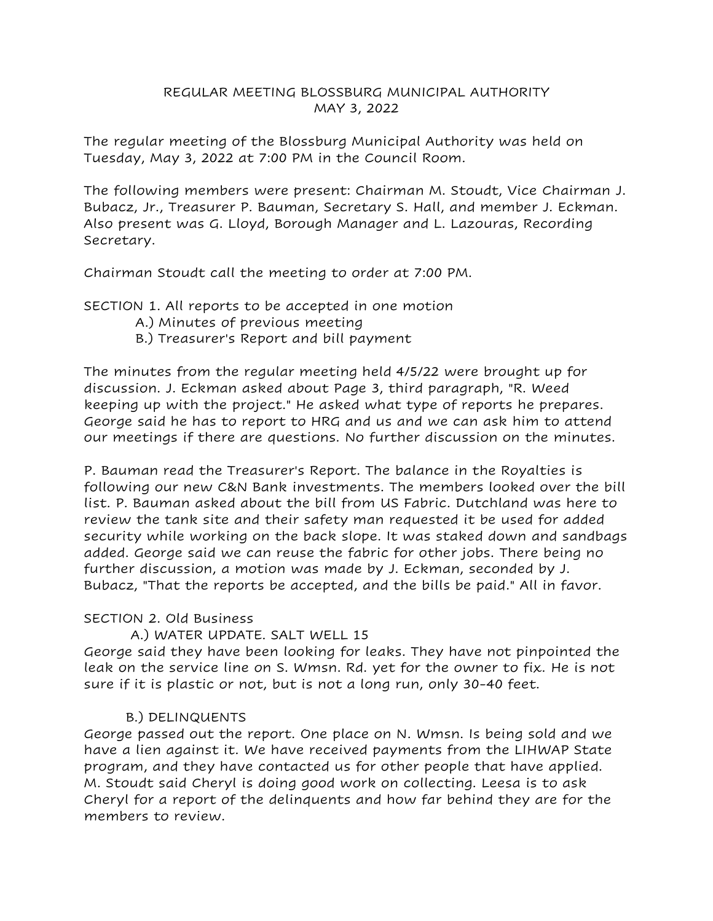### REGULAR MEETING BLOSSBURG MUNICIPAL AUTHORITY MAY 3, 2022

The regular meeting of the Blossburg Municipal Authority was held on Tuesday, May 3, 2022 at 7:00 PM in the Council Room.

The following members were present: Chairman M. Stoudt, Vice Chairman J. Bubacz, Jr., Treasurer P. Bauman, Secretary S. Hall, and member J. Eckman. Also present was G. Lloyd, Borough Manager and L. Lazouras, Recording Secretary.

Chairman Stoudt call the meeting to order at 7:00 PM.

SECTION 1. All reports to be accepted in one motion

- A.) Minutes of previous meeting
- B.) Treasurer's Report and bill payment

The minutes from the regular meeting held 4/5/22 were brought up for discussion. J. Eckman asked about Page 3, third paragraph, "R. Weed keeping up with the project." He asked what type of reports he prepares. George said he has to report to HRG and us and we can ask him to attend our meetings if there are questions. No further discussion on the minutes.

P. Bauman read the Treasurer's Report. The balance in the Royalties is following our new C&N Bank investments. The members looked over the bill list. P. Bauman asked about the bill from US Fabric. Dutchland was here to review the tank site and their safety man requested it be used for added security while working on the back slope. It was staked down and sandbags added. George said we can reuse the fabric for other jobs. There being no further discussion, a motion was made by J. Eckman, seconded by J. Bubacz, "That the reports be accepted, and the bills be paid." All in favor.

### SECTION 2. Old Business

# A.) WATER UPDATE. SALT WELL 15

George said they have been looking for leaks. They have not pinpointed the leak on the service line on S. Wmsn. Rd. yet for the owner to fix. He is not sure if it is plastic or not, but is not a long run, only 30-40 feet.

# B.) DELINQUENTS

George passed out the report. One place on N. Wmsn. Is being sold and we have a lien against it. We have received payments from the LIHWAP State program, and they have contacted us for other people that have applied. M. Stoudt said Cheryl is doing good work on collecting. Leesa is to ask Cheryl for a report of the delinquents and how far behind they are for the members to review.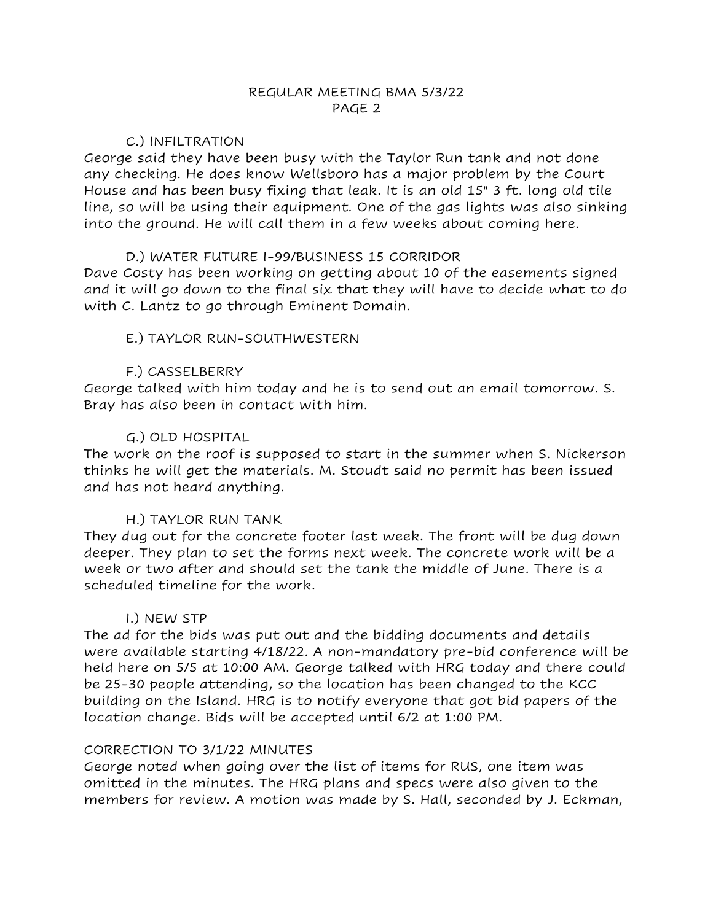### C.) INFILTRATION

George said they have been busy with the Taylor Run tank and not done any checking. He does know Wellsboro has a major problem by the Court House and has been busy fixing that leak. It is an old 15" 3 ft. long old tile line, so will be using their equipment. One of the gas lights was also sinking into the ground. He will call them in a few weeks about coming here.

## D.) WATER FUTURE I-99/BUSINESS 15 CORRIDOR

Dave Costy has been working on getting about 10 of the easements signed and it will go down to the final six that they will have to decide what to do with C. Lantz to go through Eminent Domain.

## E.) TAYLOR RUN-SOUTHWESTERN

## F.) CASSELBERRY

George talked with him today and he is to send out an email tomorrow. S. Bray has also been in contact with him.

## G.) OLD HOSPITAL

The work on the roof is supposed to start in the summer when S. Nickerson thinks he will get the materials. M. Stoudt said no permit has been issued and has not heard anything.

### H.) TAYLOR RUN TANK

They dug out for the concrete footer last week. The front will be dug down deeper. They plan to set the forms next week. The concrete work will be a week or two after and should set the tank the middle of June. There is a scheduled timeline for the work.

### I.) NEW STP

The ad for the bids was put out and the bidding documents and details were available starting 4/18/22. A non-mandatory pre-bid conference will be held here on 5/5 at 10:00 AM. George talked with HRG today and there could be 25-30 people attending, so the location has been changed to the KCC building on the Island. HRG is to notify everyone that got bid papers of the location change. Bids will be accepted until 6/2 at 1:00 PM.

### CORRECTION TO 3/1/22 MINUTES

George noted when going over the list of items for RUS, one item was omitted in the minutes. The HRG plans and specs were also given to the members for review. A motion was made by S. Hall, seconded by J. Eckman,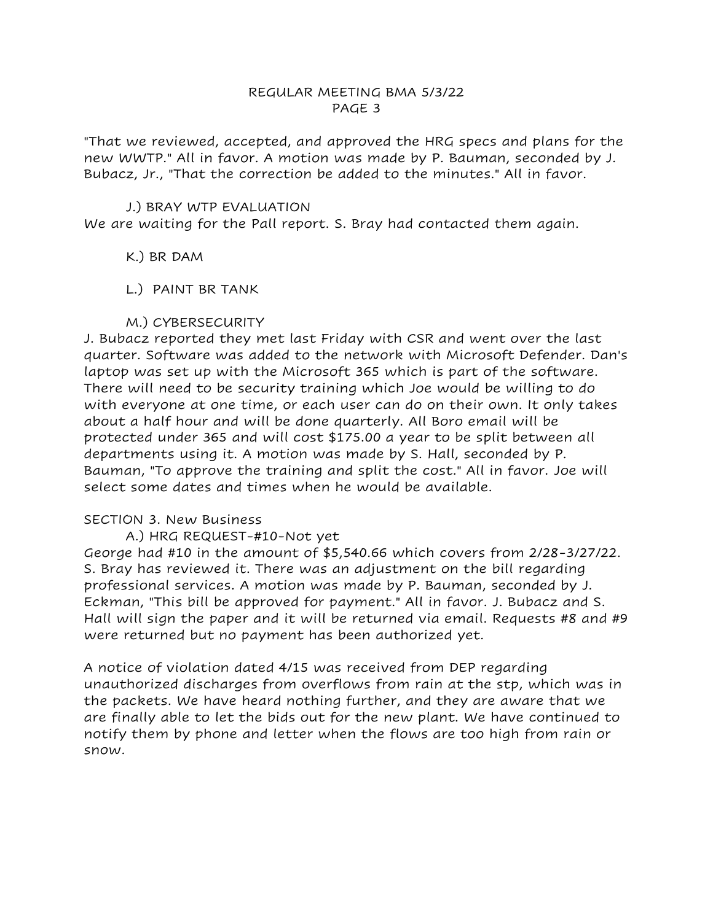"That we reviewed, accepted, and approved the HRG specs and plans for the new WWTP." All in favor. A motion was made by P. Bauman, seconded by J. Bubacz, Jr., "That the correction be added to the minutes." All in favor.

#### J.) BRAY WTP EVALUATION

We are waiting for the Pall report. S. Bray had contacted them again.

K.) BR DAM

L.) PAINT BR TANK

## M.) CYBERSECURITY

J. Bubacz reported they met last Friday with CSR and went over the last quarter. Software was added to the network with Microsoft Defender. Dan's laptop was set up with the Microsoft 365 which is part of the software. There will need to be security training which Joe would be willing to do with everyone at one time, or each user can do on their own. It only takes about a half hour and will be done quarterly. All Boro email will be protected under 365 and will cost \$175.00 a year to be split between all departments using it. A motion was made by S. Hall, seconded by P. Bauman, "To approve the training and split the cost." All in favor. Joe will select some dates and times when he would be available.

### SECTION 3. New Business

### A.) HRG REQUEST-#10-Not yet

George had #10 in the amount of \$5,540.66 which covers from 2/28-3/27/22. S. Bray has reviewed it. There was an adjustment on the bill regarding professional services. A motion was made by P. Bauman, seconded by J. Eckman, "This bill be approved for payment." All in favor. J. Bubacz and S. Hall will sign the paper and it will be returned via email. Requests #8 and #9 were returned but no payment has been authorized yet.

A notice of violation dated 4/15 was received from DEP regarding unauthorized discharges from overflows from rain at the stp, which was in the packets. We have heard nothing further, and they are aware that we are finally able to let the bids out for the new plant. We have continued to notify them by phone and letter when the flows are too high from rain or snow.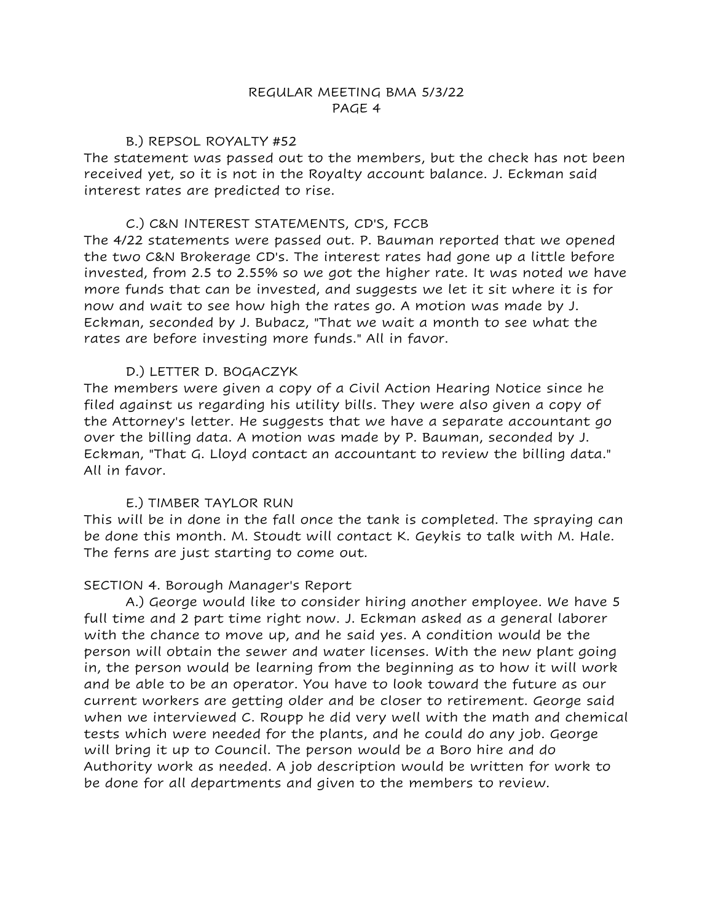#### B.) REPSOL ROYALTY #52

The statement was passed out to the members, but the check has not been received yet, so it is not in the Royalty account balance. J. Eckman said interest rates are predicted to rise.

### C.) C&N INTEREST STATEMENTS, CD'S, FCCB

The 4/22 statements were passed out. P. Bauman reported that we opened the two C&N Brokerage CD's. The interest rates had gone up a little before invested, from 2.5 to 2.55% so we got the higher rate. It was noted we have more funds that can be invested, and suggests we let it sit where it is for now and wait to see how high the rates go. A motion was made by J. Eckman, seconded by J. Bubacz, "That we wait a month to see what the rates are before investing more funds." All in favor.

## D.) LETTER D. BOGACZYK

The members were given a copy of a Civil Action Hearing Notice since he filed against us regarding his utility bills. They were also given a copy of the Attorney's letter. He suggests that we have a separate accountant go over the billing data. A motion was made by P. Bauman, seconded by J. Eckman, "That G. Lloyd contact an accountant to review the billing data." All in favor.

# E.) TIMBER TAYLOR RUN

This will be in done in the fall once the tank is completed. The spraying can be done this month. M. Stoudt will contact K. Geykis to talk with M. Hale. The ferns are just starting to come out.

### SECTION 4. Borough Manager's Report

A.) George would like to consider hiring another employee. We have 5 full time and 2 part time right now. J. Eckman asked as a general laborer with the chance to move up, and he said yes. A condition would be the person will obtain the sewer and water licenses. With the new plant going in, the person would be learning from the beginning as to how it will work and be able to be an operator. You have to look toward the future as our current workers are getting older and be closer to retirement. George said when we interviewed C. Roupp he did very well with the math and chemical tests which were needed for the plants, and he could do any job. George will bring it up to Council. The person would be a Boro hire and do Authority work as needed. A job description would be written for work to be done for all departments and given to the members to review.